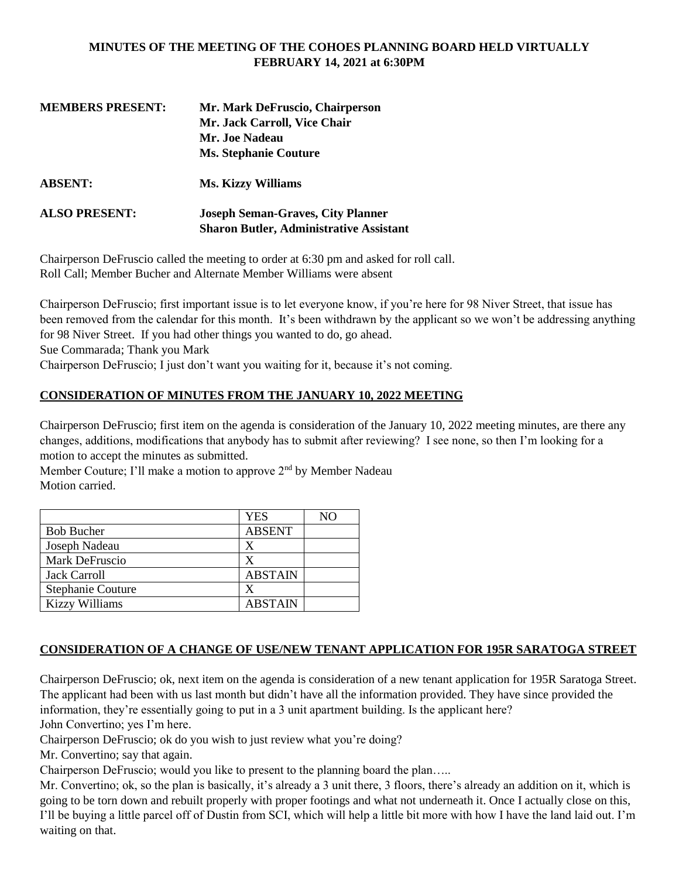#### **MINUTES OF THE MEETING OF THE COHOES PLANNING BOARD HELD VIRTUALLY FEBRUARY 14, 2021 at 6:30PM**

| <b>MEMBERS PRESENT:</b> | Mr. Mark DeFruscio, Chairperson                                                            |
|-------------------------|--------------------------------------------------------------------------------------------|
|                         | Mr. Jack Carroll, Vice Chair                                                               |
|                         | Mr. Joe Nadeau                                                                             |
|                         | <b>Ms. Stephanie Couture</b>                                                               |
| <b>ABSENT:</b>          | <b>Ms. Kizzy Williams</b>                                                                  |
| <b>ALSO PRESENT:</b>    | <b>Joseph Seman-Graves, City Planner</b><br><b>Sharon Butler, Administrative Assistant</b> |
|                         |                                                                                            |

Chairperson DeFruscio called the meeting to order at 6:30 pm and asked for roll call. Roll Call; Member Bucher and Alternate Member Williams were absent

Chairperson DeFruscio; first important issue is to let everyone know, if you're here for 98 Niver Street, that issue has been removed from the calendar for this month. It's been withdrawn by the applicant so we won't be addressing anything for 98 Niver Street. If you had other things you wanted to do, go ahead. Sue Commarada; Thank you Mark

Chairperson DeFruscio; I just don't want you waiting for it, because it's not coming.

### **CONSIDERATION OF MINUTES FROM THE JANUARY 10, 2022 MEETING**

Chairperson DeFruscio; first item on the agenda is consideration of the January 10, 2022 meeting minutes, are there any changes, additions, modifications that anybody has to submit after reviewing? I see none, so then I'm looking for a motion to accept the minutes as submitted.

Member Couture; I'll make a motion to approve  $2<sup>nd</sup>$  by Member Nadeau Motion carried.

|                          | YES            | NΟ |
|--------------------------|----------------|----|
| <b>Bob Bucher</b>        | <b>ABSENT</b>  |    |
| Joseph Nadeau            | X              |    |
| Mark DeFruscio           | X              |    |
| <b>Jack Carroll</b>      | <b>ABSTAIN</b> |    |
| <b>Stephanie Couture</b> | X              |    |
| <b>Kizzy Williams</b>    | <b>ABSTAIN</b> |    |

## **CONSIDERATION OF A CHANGE OF USE/NEW TENANT APPLICATION FOR 195R SARATOGA STREET**

Chairperson DeFruscio; ok, next item on the agenda is consideration of a new tenant application for 195R Saratoga Street. The applicant had been with us last month but didn't have all the information provided. They have since provided the information, they're essentially going to put in a 3 unit apartment building. Is the applicant here? John Convertino; yes I'm here.

Chairperson DeFruscio; ok do you wish to just review what you're doing?

Mr. Convertino; say that again.

Chairperson DeFruscio; would you like to present to the planning board the plan…..

Mr. Convertino; ok, so the plan is basically, it's already a 3 unit there, 3 floors, there's already an addition on it, which is going to be torn down and rebuilt properly with proper footings and what not underneath it. Once I actually close on this, I'll be buying a little parcel off of Dustin from SCI, which will help a little bit more with how I have the land laid out. I'm waiting on that.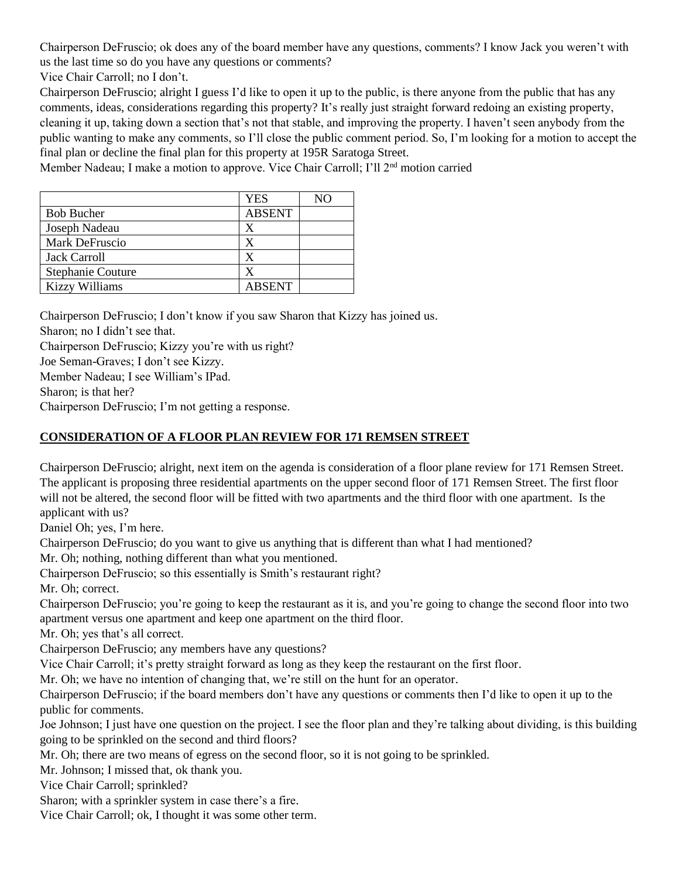Chairperson DeFruscio; ok does any of the board member have any questions, comments? I know Jack you weren't with us the last time so do you have any questions or comments?

Vice Chair Carroll; no I don't.

Chairperson DeFruscio; alright I guess I'd like to open it up to the public, is there anyone from the public that has any comments, ideas, considerations regarding this property? It's really just straight forward redoing an existing property, cleaning it up, taking down a section that's not that stable, and improving the property. I haven't seen anybody from the public wanting to make any comments, so I'll close the public comment period. So, I'm looking for a motion to accept the final plan or decline the final plan for this property at 195R Saratoga Street.

Member Nadeau; I make a motion to approve. Vice Chair Carroll; I'll  $2<sup>nd</sup>$  motion carried

|                          | <b>YES</b>    | NO |
|--------------------------|---------------|----|
| <b>Bob Bucher</b>        | <b>ABSENT</b> |    |
| Joseph Nadeau            | X             |    |
| Mark DeFruscio           | x             |    |
| <b>Jack Carroll</b>      | x             |    |
| <b>Stephanie Couture</b> |               |    |
| <b>Kizzy Williams</b>    | <b>ABSENT</b> |    |

Chairperson DeFruscio; I don't know if you saw Sharon that Kizzy has joined us.

Sharon; no I didn't see that.

Chairperson DeFruscio; Kizzy you're with us right?

Joe Seman-Graves; I don't see Kizzy.

Member Nadeau; I see William's IPad.

Sharon; is that her?

Chairperson DeFruscio; I'm not getting a response.

## **CONSIDERATION OF A FLOOR PLAN REVIEW FOR 171 REMSEN STREET**

Chairperson DeFruscio; alright, next item on the agenda is consideration of a floor plane review for 171 Remsen Street. The applicant is proposing three residential apartments on the upper second floor of 171 Remsen Street. The first floor will not be altered, the second floor will be fitted with two apartments and the third floor with one apartment. Is the applicant with us?

Daniel Oh; yes, I'm here.

Chairperson DeFruscio; do you want to give us anything that is different than what I had mentioned?

Mr. Oh; nothing, nothing different than what you mentioned.

Chairperson DeFruscio; so this essentially is Smith's restaurant right?

Mr. Oh; correct.

Chairperson DeFruscio; you're going to keep the restaurant as it is, and you're going to change the second floor into two apartment versus one apartment and keep one apartment on the third floor.

Mr. Oh; yes that's all correct.

Chairperson DeFruscio; any members have any questions?

Vice Chair Carroll; it's pretty straight forward as long as they keep the restaurant on the first floor.

Mr. Oh; we have no intention of changing that, we're still on the hunt for an operator.

Chairperson DeFruscio; if the board members don't have any questions or comments then I'd like to open it up to the public for comments.

Joe Johnson; I just have one question on the project. I see the floor plan and they're talking about dividing, is this building going to be sprinkled on the second and third floors?

Mr. Oh; there are two means of egress on the second floor, so it is not going to be sprinkled.

Mr. Johnson; I missed that, ok thank you.

Vice Chair Carroll; sprinkled?

Sharon; with a sprinkler system in case there's a fire.

Vice Chair Carroll; ok, I thought it was some other term.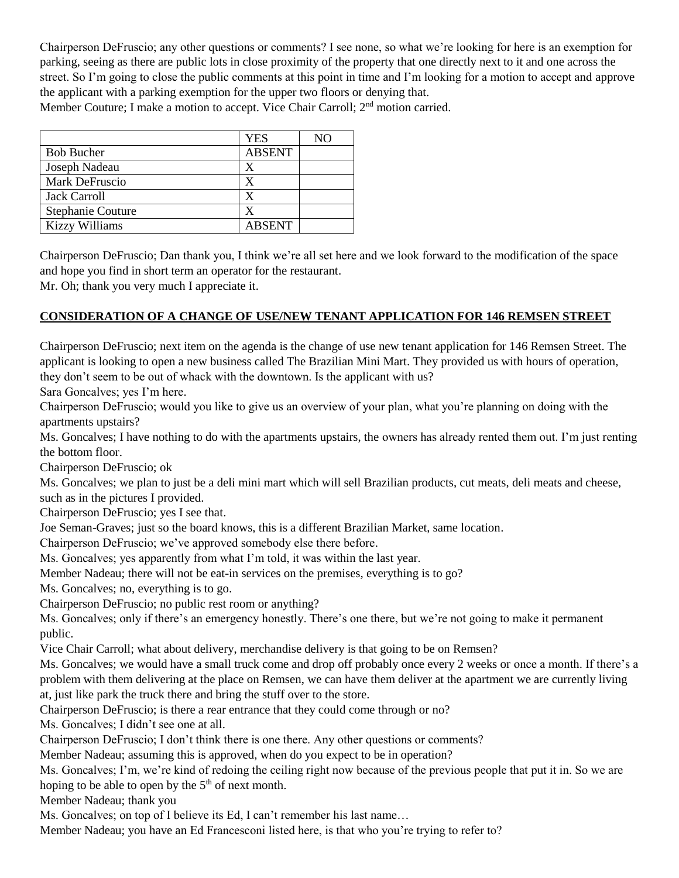Chairperson DeFruscio; any other questions or comments? I see none, so what we're looking for here is an exemption for parking, seeing as there are public lots in close proximity of the property that one directly next to it and one across the street. So I'm going to close the public comments at this point in time and I'm looking for a motion to accept and approve the applicant with a parking exemption for the upper two floors or denying that.

Member Couture; I make a motion to accept. Vice Chair Carroll; 2<sup>nd</sup> motion carried.

|                       | <b>YES</b>    | NО |
|-----------------------|---------------|----|
| <b>Bob Bucher</b>     | <b>ABSENT</b> |    |
| Joseph Nadeau         | X             |    |
| Mark DeFruscio        | X             |    |
| <b>Jack Carroll</b>   | X             |    |
| Stephanie Couture     | X             |    |
| <b>Kizzy Williams</b> | <b>ABSENT</b> |    |

Chairperson DeFruscio; Dan thank you, I think we're all set here and we look forward to the modification of the space and hope you find in short term an operator for the restaurant.

Mr. Oh; thank you very much I appreciate it.

#### **CONSIDERATION OF A CHANGE OF USE/NEW TENANT APPLICATION FOR 146 REMSEN STREET**

Chairperson DeFruscio; next item on the agenda is the change of use new tenant application for 146 Remsen Street. The applicant is looking to open a new business called The Brazilian Mini Mart. They provided us with hours of operation, they don't seem to be out of whack with the downtown. Is the applicant with us?

Sara Goncalves; yes I'm here.

Chairperson DeFruscio; would you like to give us an overview of your plan, what you're planning on doing with the apartments upstairs?

Ms. Goncalves; I have nothing to do with the apartments upstairs, the owners has already rented them out. I'm just renting the bottom floor.

Chairperson DeFruscio; ok

Ms. Goncalves; we plan to just be a deli mini mart which will sell Brazilian products, cut meats, deli meats and cheese, such as in the pictures I provided.

Chairperson DeFruscio; yes I see that.

Joe Seman-Graves; just so the board knows, this is a different Brazilian Market, same location.

Chairperson DeFruscio; we've approved somebody else there before.

Ms. Goncalves; yes apparently from what I'm told, it was within the last year.

Member Nadeau; there will not be eat-in services on the premises, everything is to go?

Ms. Goncalves; no, everything is to go.

Chairperson DeFruscio; no public rest room or anything?

Ms. Goncalves; only if there's an emergency honestly. There's one there, but we're not going to make it permanent public.

Vice Chair Carroll; what about delivery, merchandise delivery is that going to be on Remsen?

Ms. Goncalves; we would have a small truck come and drop off probably once every 2 weeks or once a month. If there's a problem with them delivering at the place on Remsen, we can have them deliver at the apartment we are currently living at, just like park the truck there and bring the stuff over to the store.

Chairperson DeFruscio; is there a rear entrance that they could come through or no?

Ms. Goncalves; I didn't see one at all.

Chairperson DeFruscio; I don't think there is one there. Any other questions or comments?

Member Nadeau; assuming this is approved, when do you expect to be in operation?

Ms. Goncalves; I'm, we're kind of redoing the ceiling right now because of the previous people that put it in. So we are hoping to be able to open by the  $5<sup>th</sup>$  of next month.

Member Nadeau; thank you

Ms. Goncalves; on top of I believe its Ed, I can't remember his last name…

Member Nadeau; you have an Ed Francesconi listed here, is that who you're trying to refer to?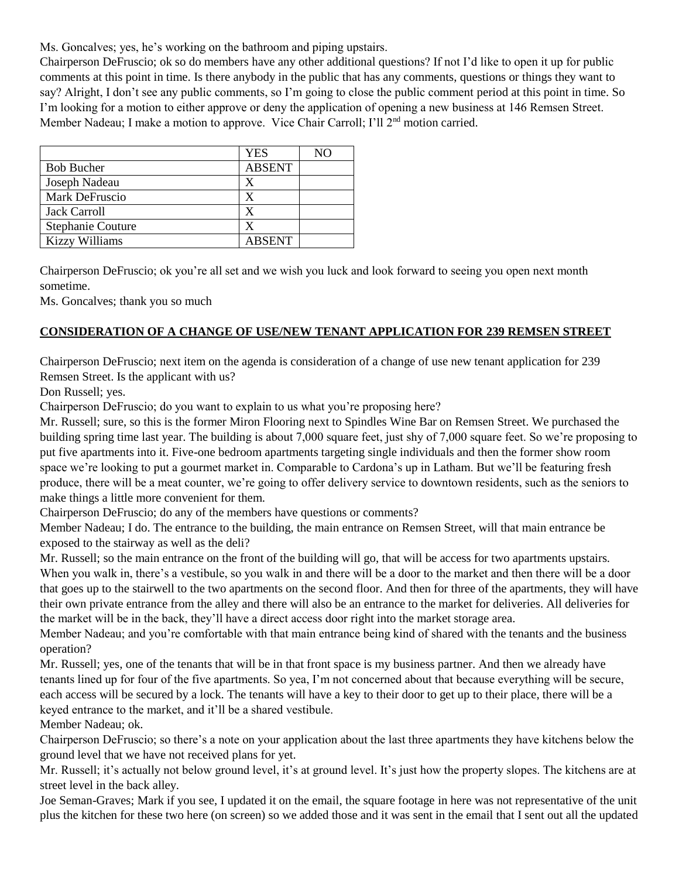Ms. Goncalves; yes, he's working on the bathroom and piping upstairs.

Chairperson DeFruscio; ok so do members have any other additional questions? If not I'd like to open it up for public comments at this point in time. Is there anybody in the public that has any comments, questions or things they want to say? Alright, I don't see any public comments, so I'm going to close the public comment period at this point in time. So I'm looking for a motion to either approve or deny the application of opening a new business at 146 Remsen Street. Member Nadeau; I make a motion to approve. Vice Chair Carroll; I'll 2<sup>nd</sup> motion carried.

|                          | <b>YES</b>    | NΟ |
|--------------------------|---------------|----|
| <b>Bob Bucher</b>        | <b>ABSENT</b> |    |
| Joseph Nadeau            | X             |    |
| Mark DeFruscio           | X             |    |
| <b>Jack Carroll</b>      | X             |    |
| <b>Stephanie Couture</b> | X             |    |
| <b>Kizzy Williams</b>    | <b>ABSENT</b> |    |

Chairperson DeFruscio; ok you're all set and we wish you luck and look forward to seeing you open next month sometime.

Ms. Goncalves; thank you so much

#### **CONSIDERATION OF A CHANGE OF USE/NEW TENANT APPLICATION FOR 239 REMSEN STREET**

Chairperson DeFruscio; next item on the agenda is consideration of a change of use new tenant application for 239 Remsen Street. Is the applicant with us?

Don Russell; yes.

Chairperson DeFruscio; do you want to explain to us what you're proposing here?

Mr. Russell; sure, so this is the former Miron Flooring next to Spindles Wine Bar on Remsen Street. We purchased the building spring time last year. The building is about 7,000 square feet, just shy of 7,000 square feet. So we're proposing to put five apartments into it. Five-one bedroom apartments targeting single individuals and then the former show room space we're looking to put a gourmet market in. Comparable to Cardona's up in Latham. But we'll be featuring fresh produce, there will be a meat counter, we're going to offer delivery service to downtown residents, such as the seniors to make things a little more convenient for them.

Chairperson DeFruscio; do any of the members have questions or comments?

Member Nadeau; I do. The entrance to the building, the main entrance on Remsen Street, will that main entrance be exposed to the stairway as well as the deli?

Mr. Russell; so the main entrance on the front of the building will go, that will be access for two apartments upstairs. When you walk in, there's a vestibule, so you walk in and there will be a door to the market and then there will be a door that goes up to the stairwell to the two apartments on the second floor. And then for three of the apartments, they will have their own private entrance from the alley and there will also be an entrance to the market for deliveries. All deliveries for the market will be in the back, they'll have a direct access door right into the market storage area.

Member Nadeau; and you're comfortable with that main entrance being kind of shared with the tenants and the business operation?

Mr. Russell; yes, one of the tenants that will be in that front space is my business partner. And then we already have tenants lined up for four of the five apartments. So yea, I'm not concerned about that because everything will be secure, each access will be secured by a lock. The tenants will have a key to their door to get up to their place, there will be a keyed entrance to the market, and it'll be a shared vestibule.

Member Nadeau; ok.

Chairperson DeFruscio; so there's a note on your application about the last three apartments they have kitchens below the ground level that we have not received plans for yet.

Mr. Russell; it's actually not below ground level, it's at ground level. It's just how the property slopes. The kitchens are at street level in the back alley.

Joe Seman-Graves; Mark if you see, I updated it on the email, the square footage in here was not representative of the unit plus the kitchen for these two here (on screen) so we added those and it was sent in the email that I sent out all the updated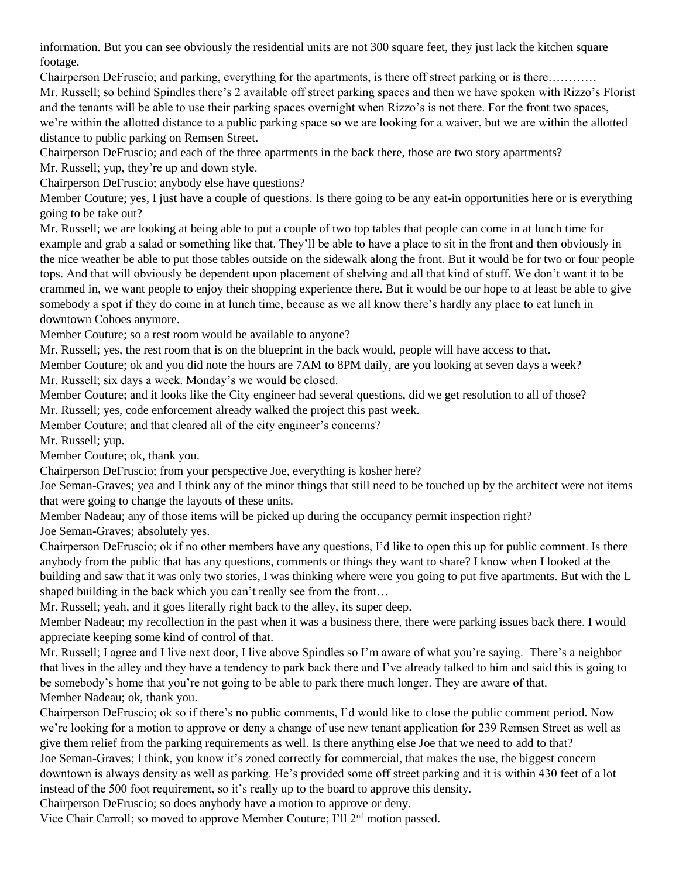information. But you can see obviously the residential units are not 300 square feet, they just lack the kitchen square footage.

Chairperson DeFruscio; and parking, everything for the apartments, is there off street parking or is there………… Mr. Russell; so behind Spindles there's 2 available off street parking spaces and then we have spoken with Rizzo's Florist and the tenants will be able to use their parking spaces overnight when Rizzo's is not there. For the front two spaces, we're within the allotted distance to a public parking space so we are looking for a waiver, but we are within the allotted distance to public parking on Remsen Street.

Chairperson DeFruscio; and each of the three apartments in the back there, those are two story apartments?

Mr. Russell; yup, they're up and down style.

Chairperson DeFruscio; anybody else have questions?

Member Couture; yes, I just have a couple of questions. Is there going to be any eat-in opportunities here or is everything going to be take out?

Mr. Russell; we are looking at being able to put a couple of two top tables that people can come in at lunch time for example and grab a salad or something like that. They'll be able to have a place to sit in the front and then obviously in the nice weather be able to put those tables outside on the sidewalk along the front. But it would be for two or four people tops. And that will obviously be dependent upon placement of shelving and all that kind of stuff. We don't want it to be crammed in, we want people to enjoy their shopping experience there. But it would be our hope to at least be able to give somebody a spot if they do come in at lunch time, because as we all know there's hardly any place to eat lunch in downtown Cohoes anymore.

Member Couture; so a rest room would be available to anyone?

Mr. Russell; yes, the rest room that is on the blueprint in the back would, people will have access to that.

Member Couture; ok and you did note the hours are 7AM to 8PM daily, are you looking at seven days a week? Mr. Russell; six days a week. Monday's we would be closed.

Member Couture; and it looks like the City engineer had several questions, did we get resolution to all of those?

Mr. Russell; yes, code enforcement already walked the project this past week.

Member Couture; and that cleared all of the city engineer's concerns?

Mr. Russell; yup.

Member Couture; ok, thank you.

Chairperson DeFruscio; from your perspective Joe, everything is kosher here?

Joe Seman-Graves; yea and I think any of the minor things that still need to be touched up by the architect were not items that were going to change the layouts of these units.

Member Nadeau; any of those items will be picked up during the occupancy permit inspection right? Joe Seman-Graves; absolutely yes.

Chairperson DeFruscio; ok if no other members have any questions, I'd like to open this up for public comment. Is there anybody from the public that has any questions, comments or things they want to share? I know when I looked at the building and saw that it was only two stories, I was thinking where were you going to put five apartments. But with the L shaped building in the back which you can't really see from the front…

Mr. Russell; yeah, and it goes literally right back to the alley, its super deep.

Member Nadeau; my recollection in the past when it was a business there, there were parking issues back there. I would appreciate keeping some kind of control of that.

Mr. Russell; I agree and I live next door, I live above Spindles so I'm aware of what you're saying. There's a neighbor that lives in the alley and they have a tendency to park back there and I've already talked to him and said this is going to be somebody's home that you're not going to be able to park there much longer. They are aware of that. Member Nadeau; ok, thank you.

Chairperson DeFruscio; ok so if there's no public comments, I'd would like to close the public comment period. Now we're looking for a motion to approve or deny a change of use new tenant application for 239 Remsen Street as well as give them relief from the parking requirements as well. Is there anything else Joe that we need to add to that? Joe Seman-Graves; I think, you know it's zoned correctly for commercial, that makes the use, the biggest concern downtown is always density as well as parking. He's provided some off street parking and it is within 430 feet of a lot instead of the 500 foot requirement, so it's really up to the board to approve this density.

Chairperson DeFruscio; so does anybody have a motion to approve or deny.

Vice Chair Carroll; so moved to approve Member Couture; I'll 2nd motion passed.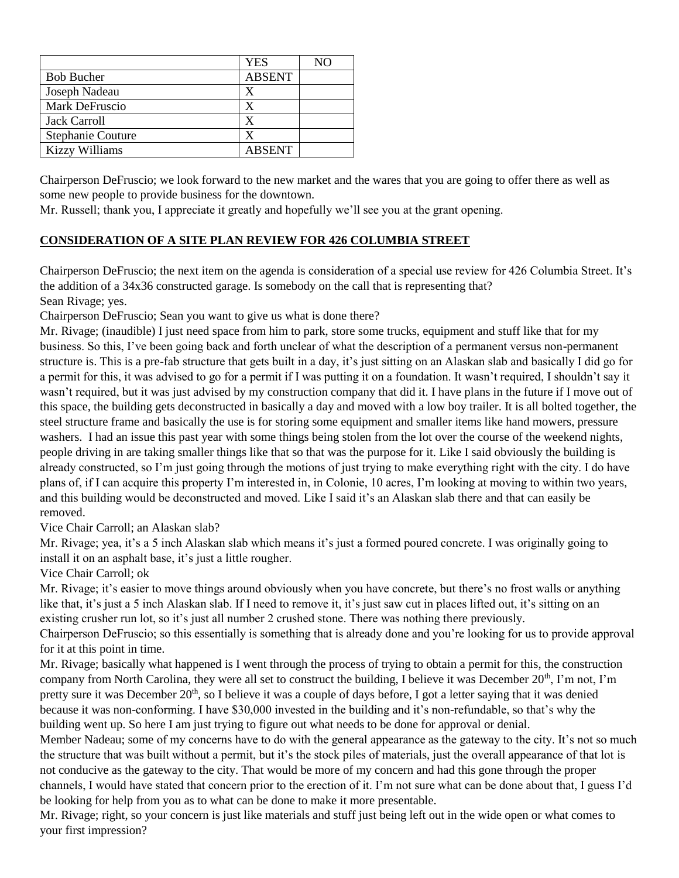|                          | <b>YES</b>    | NΟ |
|--------------------------|---------------|----|
| <b>Bob Bucher</b>        | <b>ABSENT</b> |    |
| Joseph Nadeau            | X             |    |
| Mark DeFruscio           | x             |    |
| <b>Jack Carroll</b>      | X             |    |
| <b>Stephanie Couture</b> | X             |    |
| <b>Kizzy Williams</b>    | <b>ABSENT</b> |    |

Chairperson DeFruscio; we look forward to the new market and the wares that you are going to offer there as well as some new people to provide business for the downtown.

Mr. Russell; thank you, I appreciate it greatly and hopefully we'll see you at the grant opening.

# **CONSIDERATION OF A SITE PLAN REVIEW FOR 426 COLUMBIA STREET**

Chairperson DeFruscio; the next item on the agenda is consideration of a special use review for 426 Columbia Street. It's the addition of a 34x36 constructed garage. Is somebody on the call that is representing that? Sean Rivage; yes.

Chairperson DeFruscio; Sean you want to give us what is done there?

Mr. Rivage; (inaudible) I just need space from him to park, store some trucks, equipment and stuff like that for my business. So this, I've been going back and forth unclear of what the description of a permanent versus non-permanent structure is. This is a pre-fab structure that gets built in a day, it's just sitting on an Alaskan slab and basically I did go for a permit for this, it was advised to go for a permit if I was putting it on a foundation. It wasn't required, I shouldn't say it wasn't required, but it was just advised by my construction company that did it. I have plans in the future if I move out of this space, the building gets deconstructed in basically a day and moved with a low boy trailer. It is all bolted together, the steel structure frame and basically the use is for storing some equipment and smaller items like hand mowers, pressure washers. I had an issue this past year with some things being stolen from the lot over the course of the weekend nights, people driving in are taking smaller things like that so that was the purpose for it. Like I said obviously the building is already constructed, so I'm just going through the motions of just trying to make everything right with the city. I do have plans of, if I can acquire this property I'm interested in, in Colonie, 10 acres, I'm looking at moving to within two years, and this building would be deconstructed and moved. Like I said it's an Alaskan slab there and that can easily be removed.

Vice Chair Carroll; an Alaskan slab?

Mr. Rivage; yea, it's a 5 inch Alaskan slab which means it's just a formed poured concrete. I was originally going to install it on an asphalt base, it's just a little rougher.

Vice Chair Carroll; ok

Mr. Rivage; it's easier to move things around obviously when you have concrete, but there's no frost walls or anything like that, it's just a 5 inch Alaskan slab. If I need to remove it, it's just saw cut in places lifted out, it's sitting on an existing crusher run lot, so it's just all number 2 crushed stone. There was nothing there previously.

Chairperson DeFruscio; so this essentially is something that is already done and you're looking for us to provide approval for it at this point in time.

Mr. Rivage; basically what happened is I went through the process of trying to obtain a permit for this, the construction company from North Carolina, they were all set to construct the building, I believe it was December  $20<sup>th</sup>$ , I'm not, I'm pretty sure it was December 20<sup>th</sup>, so I believe it was a couple of days before, I got a letter saying that it was denied because it was non-conforming. I have \$30,000 invested in the building and it's non-refundable, so that's why the building went up. So here I am just trying to figure out what needs to be done for approval or denial.

Member Nadeau; some of my concerns have to do with the general appearance as the gateway to the city. It's not so much the structure that was built without a permit, but it's the stock piles of materials, just the overall appearance of that lot is not conducive as the gateway to the city. That would be more of my concern and had this gone through the proper channels, I would have stated that concern prior to the erection of it. I'm not sure what can be done about that, I guess I'd be looking for help from you as to what can be done to make it more presentable.

Mr. Rivage; right, so your concern is just like materials and stuff just being left out in the wide open or what comes to your first impression?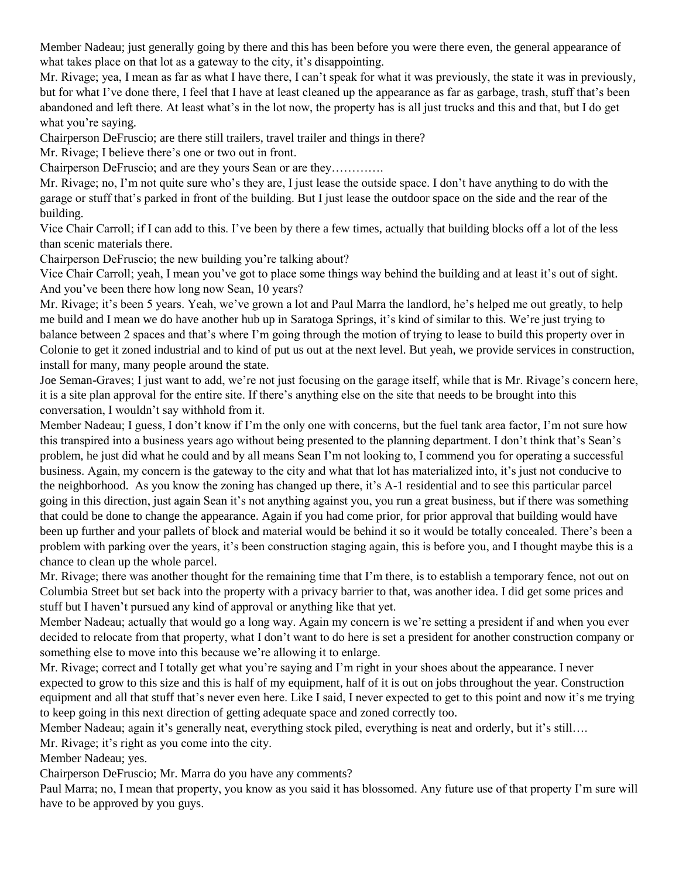Member Nadeau; just generally going by there and this has been before you were there even, the general appearance of what takes place on that lot as a gateway to the city, it's disappointing.

Mr. Rivage; yea, I mean as far as what I have there, I can't speak for what it was previously, the state it was in previously, but for what I've done there, I feel that I have at least cleaned up the appearance as far as garbage, trash, stuff that's been abandoned and left there. At least what's in the lot now, the property has is all just trucks and this and that, but I do get what you're saying.

Chairperson DeFruscio; are there still trailers, travel trailer and things in there?

Mr. Rivage; I believe there's one or two out in front.

Chairperson DeFruscio; and are they yours Sean or are they………….

Mr. Rivage; no, I'm not quite sure who's they are, I just lease the outside space. I don't have anything to do with the garage or stuff that's parked in front of the building. But I just lease the outdoor space on the side and the rear of the building.

Vice Chair Carroll; if I can add to this. I've been by there a few times, actually that building blocks off a lot of the less than scenic materials there.

Chairperson DeFruscio; the new building you're talking about?

Vice Chair Carroll; yeah, I mean you've got to place some things way behind the building and at least it's out of sight. And you've been there how long now Sean, 10 years?

Mr. Rivage; it's been 5 years. Yeah, we've grown a lot and Paul Marra the landlord, he's helped me out greatly, to help me build and I mean we do have another hub up in Saratoga Springs, it's kind of similar to this. We're just trying to balance between 2 spaces and that's where I'm going through the motion of trying to lease to build this property over in Colonie to get it zoned industrial and to kind of put us out at the next level. But yeah, we provide services in construction, install for many, many people around the state.

Joe Seman-Graves; I just want to add, we're not just focusing on the garage itself, while that is Mr. Rivage's concern here, it is a site plan approval for the entire site. If there's anything else on the site that needs to be brought into this conversation, I wouldn't say withhold from it.

Member Nadeau; I guess, I don't know if I'm the only one with concerns, but the fuel tank area factor, I'm not sure how this transpired into a business years ago without being presented to the planning department. I don't think that's Sean's problem, he just did what he could and by all means Sean I'm not looking to, I commend you for operating a successful business. Again, my concern is the gateway to the city and what that lot has materialized into, it's just not conducive to the neighborhood. As you know the zoning has changed up there, it's A-1 residential and to see this particular parcel going in this direction, just again Sean it's not anything against you, you run a great business, but if there was something that could be done to change the appearance. Again if you had come prior, for prior approval that building would have been up further and your pallets of block and material would be behind it so it would be totally concealed. There's been a problem with parking over the years, it's been construction staging again, this is before you, and I thought maybe this is a chance to clean up the whole parcel.

Mr. Rivage; there was another thought for the remaining time that I'm there, is to establish a temporary fence, not out on Columbia Street but set back into the property with a privacy barrier to that, was another idea. I did get some prices and stuff but I haven't pursued any kind of approval or anything like that yet.

Member Nadeau; actually that would go a long way. Again my concern is we're setting a president if and when you ever decided to relocate from that property, what I don't want to do here is set a president for another construction company or something else to move into this because we're allowing it to enlarge.

Mr. Rivage; correct and I totally get what you're saying and I'm right in your shoes about the appearance. I never expected to grow to this size and this is half of my equipment, half of it is out on jobs throughout the year. Construction equipment and all that stuff that's never even here. Like I said, I never expected to get to this point and now it's me trying to keep going in this next direction of getting adequate space and zoned correctly too.

Member Nadeau; again it's generally neat, everything stock piled, everything is neat and orderly, but it's still….

Mr. Rivage; it's right as you come into the city.

Member Nadeau; yes.

Chairperson DeFruscio; Mr. Marra do you have any comments?

Paul Marra; no, I mean that property, you know as you said it has blossomed. Any future use of that property I'm sure will have to be approved by you guys.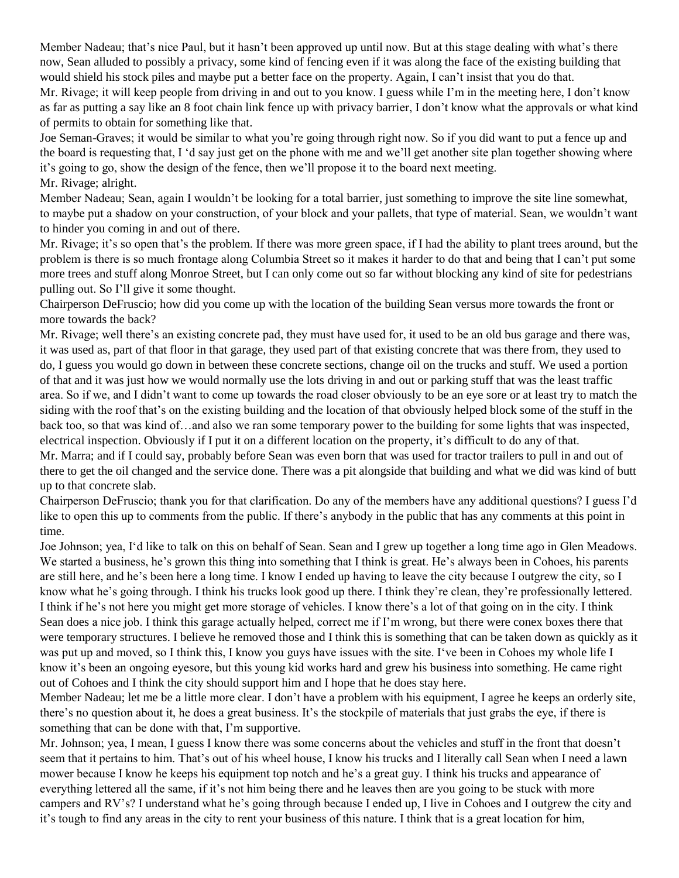Member Nadeau; that's nice Paul, but it hasn't been approved up until now. But at this stage dealing with what's there now, Sean alluded to possibly a privacy, some kind of fencing even if it was along the face of the existing building that would shield his stock piles and maybe put a better face on the property. Again, I can't insist that you do that.

Mr. Rivage; it will keep people from driving in and out to you know. I guess while I'm in the meeting here, I don't know as far as putting a say like an 8 foot chain link fence up with privacy barrier, I don't know what the approvals or what kind of permits to obtain for something like that.

Joe Seman-Graves; it would be similar to what you're going through right now. So if you did want to put a fence up and the board is requesting that, I 'd say just get on the phone with me and we'll get another site plan together showing where it's going to go, show the design of the fence, then we'll propose it to the board next meeting. Mr. Rivage; alright.

Member Nadeau; Sean, again I wouldn't be looking for a total barrier, just something to improve the site line somewhat, to maybe put a shadow on your construction, of your block and your pallets, that type of material. Sean, we wouldn't want to hinder you coming in and out of there.

Mr. Rivage; it's so open that's the problem. If there was more green space, if I had the ability to plant trees around, but the problem is there is so much frontage along Columbia Street so it makes it harder to do that and being that I can't put some more trees and stuff along Monroe Street, but I can only come out so far without blocking any kind of site for pedestrians pulling out. So I'll give it some thought.

Chairperson DeFruscio; how did you come up with the location of the building Sean versus more towards the front or more towards the back?

Mr. Rivage; well there's an existing concrete pad, they must have used for, it used to be an old bus garage and there was, it was used as, part of that floor in that garage, they used part of that existing concrete that was there from, they used to do, I guess you would go down in between these concrete sections, change oil on the trucks and stuff. We used a portion of that and it was just how we would normally use the lots driving in and out or parking stuff that was the least traffic area. So if we, and I didn't want to come up towards the road closer obviously to be an eye sore or at least try to match the siding with the roof that's on the existing building and the location of that obviously helped block some of the stuff in the back too, so that was kind of…and also we ran some temporary power to the building for some lights that was inspected, electrical inspection. Obviously if I put it on a different location on the property, it's difficult to do any of that. Mr. Marra; and if I could say, probably before Sean was even born that was used for tractor trailers to pull in and out of there to get the oil changed and the service done. There was a pit alongside that building and what we did was kind of butt up to that concrete slab.

Chairperson DeFruscio; thank you for that clarification. Do any of the members have any additional questions? I guess I'd like to open this up to comments from the public. If there's anybody in the public that has any comments at this point in time.

Joe Johnson; yea, I'd like to talk on this on behalf of Sean. Sean and I grew up together a long time ago in Glen Meadows. We started a business, he's grown this thing into something that I think is great. He's always been in Cohoes, his parents are still here, and he's been here a long time. I know I ended up having to leave the city because I outgrew the city, so I know what he's going through. I think his trucks look good up there. I think they're clean, they're professionally lettered. I think if he's not here you might get more storage of vehicles. I know there's a lot of that going on in the city. I think Sean does a nice job. I think this garage actually helped, correct me if I'm wrong, but there were conex boxes there that were temporary structures. I believe he removed those and I think this is something that can be taken down as quickly as it was put up and moved, so I think this, I know you guys have issues with the site. I've been in Cohoes my whole life I know it's been an ongoing eyesore, but this young kid works hard and grew his business into something. He came right out of Cohoes and I think the city should support him and I hope that he does stay here.

Member Nadeau; let me be a little more clear. I don't have a problem with his equipment, I agree he keeps an orderly site, there's no question about it, he does a great business. It's the stockpile of materials that just grabs the eye, if there is something that can be done with that, I'm supportive.

Mr. Johnson; yea, I mean, I guess I know there was some concerns about the vehicles and stuff in the front that doesn't seem that it pertains to him. That's out of his wheel house, I know his trucks and I literally call Sean when I need a lawn mower because I know he keeps his equipment top notch and he's a great guy. I think his trucks and appearance of everything lettered all the same, if it's not him being there and he leaves then are you going to be stuck with more campers and RV's? I understand what he's going through because I ended up, I live in Cohoes and I outgrew the city and it's tough to find any areas in the city to rent your business of this nature. I think that is a great location for him,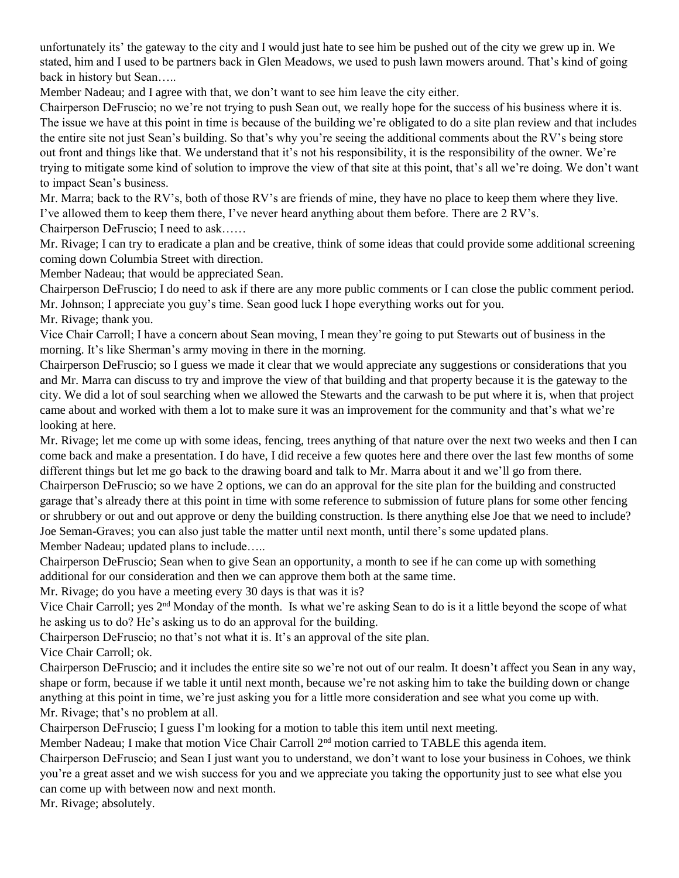unfortunately its' the gateway to the city and I would just hate to see him be pushed out of the city we grew up in. We stated, him and I used to be partners back in Glen Meadows, we used to push lawn mowers around. That's kind of going back in history but Sean…..

Member Nadeau; and I agree with that, we don't want to see him leave the city either.

Chairperson DeFruscio; no we're not trying to push Sean out, we really hope for the success of his business where it is. The issue we have at this point in time is because of the building we're obligated to do a site plan review and that includes the entire site not just Sean's building. So that's why you're seeing the additional comments about the RV's being store out front and things like that. We understand that it's not his responsibility, it is the responsibility of the owner. We're trying to mitigate some kind of solution to improve the view of that site at this point, that's all we're doing. We don't want to impact Sean's business.

Mr. Marra; back to the RV's, both of those RV's are friends of mine, they have no place to keep them where they live. I've allowed them to keep them there, I've never heard anything about them before. There are 2 RV's.

Chairperson DeFruscio; I need to ask……

Mr. Rivage; I can try to eradicate a plan and be creative, think of some ideas that could provide some additional screening coming down Columbia Street with direction.

Member Nadeau; that would be appreciated Sean.

Chairperson DeFruscio; I do need to ask if there are any more public comments or I can close the public comment period. Mr. Johnson; I appreciate you guy's time. Sean good luck I hope everything works out for you.

Mr. Rivage; thank you.

Vice Chair Carroll; I have a concern about Sean moving, I mean they're going to put Stewarts out of business in the morning. It's like Sherman's army moving in there in the morning.

Chairperson DeFruscio; so I guess we made it clear that we would appreciate any suggestions or considerations that you and Mr. Marra can discuss to try and improve the view of that building and that property because it is the gateway to the city. We did a lot of soul searching when we allowed the Stewarts and the carwash to be put where it is, when that project came about and worked with them a lot to make sure it was an improvement for the community and that's what we're looking at here.

Mr. Rivage; let me come up with some ideas, fencing, trees anything of that nature over the next two weeks and then I can come back and make a presentation. I do have, I did receive a few quotes here and there over the last few months of some different things but let me go back to the drawing board and talk to Mr. Marra about it and we'll go from there.

Chairperson DeFruscio; so we have 2 options, we can do an approval for the site plan for the building and constructed garage that's already there at this point in time with some reference to submission of future plans for some other fencing or shrubbery or out and out approve or deny the building construction. Is there anything else Joe that we need to include? Joe Seman-Graves; you can also just table the matter until next month, until there's some updated plans. Member Nadeau; updated plans to include…..

Chairperson DeFruscio; Sean when to give Sean an opportunity, a month to see if he can come up with something additional for our consideration and then we can approve them both at the same time.

Mr. Rivage; do you have a meeting every 30 days is that was it is?

Vice Chair Carroll; yes  $2<sup>nd</sup>$  Monday of the month. Is what we're asking Sean to do is it a little beyond the scope of what he asking us to do? He's asking us to do an approval for the building.

Chairperson DeFruscio; no that's not what it is. It's an approval of the site plan.

Vice Chair Carroll; ok.

Chairperson DeFruscio; and it includes the entire site so we're not out of our realm. It doesn't affect you Sean in any way, shape or form, because if we table it until next month, because we're not asking him to take the building down or change anything at this point in time, we're just asking you for a little more consideration and see what you come up with. Mr. Rivage; that's no problem at all.

Chairperson DeFruscio; I guess I'm looking for a motion to table this item until next meeting.

Member Nadeau; I make that motion Vice Chair Carroll 2<sup>nd</sup> motion carried to TABLE this agenda item.

Chairperson DeFruscio; and Sean I just want you to understand, we don't want to lose your business in Cohoes, we think you're a great asset and we wish success for you and we appreciate you taking the opportunity just to see what else you can come up with between now and next month.

Mr. Rivage; absolutely.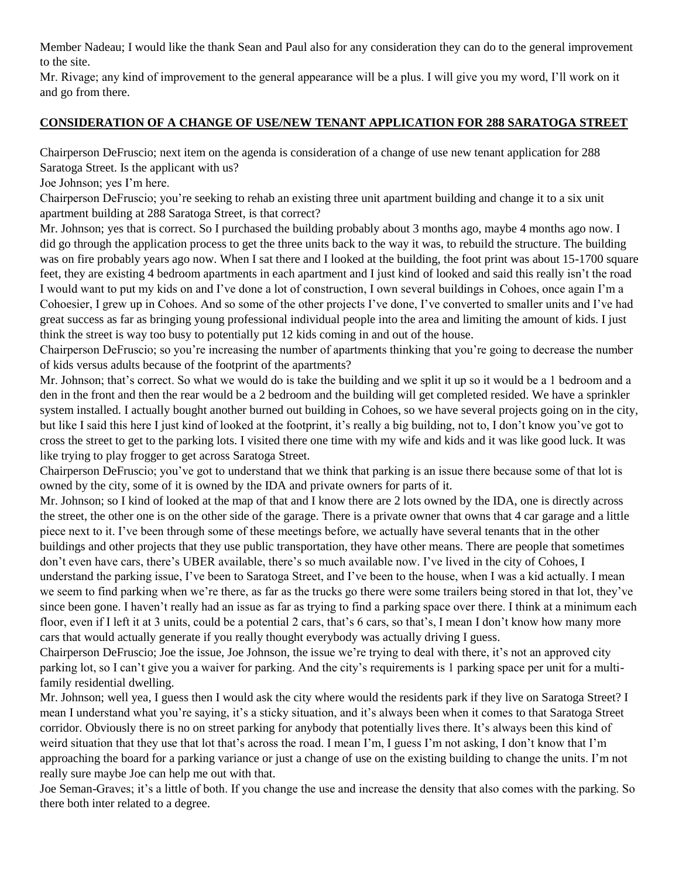Member Nadeau; I would like the thank Sean and Paul also for any consideration they can do to the general improvement to the site.

Mr. Rivage; any kind of improvement to the general appearance will be a plus. I will give you my word, I'll work on it and go from there.

## **CONSIDERATION OF A CHANGE OF USE/NEW TENANT APPLICATION FOR 288 SARATOGA STREET**

Chairperson DeFruscio; next item on the agenda is consideration of a change of use new tenant application for 288 Saratoga Street. Is the applicant with us?

Joe Johnson; yes I'm here.

Chairperson DeFruscio; you're seeking to rehab an existing three unit apartment building and change it to a six unit apartment building at 288 Saratoga Street, is that correct?

Mr. Johnson; yes that is correct. So I purchased the building probably about 3 months ago, maybe 4 months ago now. I did go through the application process to get the three units back to the way it was, to rebuild the structure. The building was on fire probably years ago now. When I sat there and I looked at the building, the foot print was about 15-1700 square feet, they are existing 4 bedroom apartments in each apartment and I just kind of looked and said this really isn't the road I would want to put my kids on and I've done a lot of construction, I own several buildings in Cohoes, once again I'm a Cohoesier, I grew up in Cohoes. And so some of the other projects I've done, I've converted to smaller units and I've had great success as far as bringing young professional individual people into the area and limiting the amount of kids. I just think the street is way too busy to potentially put 12 kids coming in and out of the house.

Chairperson DeFruscio; so you're increasing the number of apartments thinking that you're going to decrease the number of kids versus adults because of the footprint of the apartments?

Mr. Johnson; that's correct. So what we would do is take the building and we split it up so it would be a 1 bedroom and a den in the front and then the rear would be a 2 bedroom and the building will get completed resided. We have a sprinkler system installed. I actually bought another burned out building in Cohoes, so we have several projects going on in the city, but like I said this here I just kind of looked at the footprint, it's really a big building, not to, I don't know you've got to cross the street to get to the parking lots. I visited there one time with my wife and kids and it was like good luck. It was like trying to play frogger to get across Saratoga Street.

Chairperson DeFruscio; you've got to understand that we think that parking is an issue there because some of that lot is owned by the city, some of it is owned by the IDA and private owners for parts of it.

Mr. Johnson; so I kind of looked at the map of that and I know there are 2 lots owned by the IDA, one is directly across the street, the other one is on the other side of the garage. There is a private owner that owns that 4 car garage and a little piece next to it. I've been through some of these meetings before, we actually have several tenants that in the other buildings and other projects that they use public transportation, they have other means. There are people that sometimes don't even have cars, there's UBER available, there's so much available now. I've lived in the city of Cohoes, I understand the parking issue, I've been to Saratoga Street, and I've been to the house, when I was a kid actually. I mean we seem to find parking when we're there, as far as the trucks go there were some trailers being stored in that lot, they've since been gone. I haven't really had an issue as far as trying to find a parking space over there. I think at a minimum each floor, even if I left it at 3 units, could be a potential 2 cars, that's 6 cars, so that's, I mean I don't know how many more cars that would actually generate if you really thought everybody was actually driving I guess.

Chairperson DeFruscio; Joe the issue, Joe Johnson, the issue we're trying to deal with there, it's not an approved city parking lot, so I can't give you a waiver for parking. And the city's requirements is 1 parking space per unit for a multifamily residential dwelling.

Mr. Johnson; well yea, I guess then I would ask the city where would the residents park if they live on Saratoga Street? I mean I understand what you're saying, it's a sticky situation, and it's always been when it comes to that Saratoga Street corridor. Obviously there is no on street parking for anybody that potentially lives there. It's always been this kind of weird situation that they use that lot that's across the road. I mean I'm, I guess I'm not asking, I don't know that I'm approaching the board for a parking variance or just a change of use on the existing building to change the units. I'm not really sure maybe Joe can help me out with that.

Joe Seman-Graves; it's a little of both. If you change the use and increase the density that also comes with the parking. So there both inter related to a degree.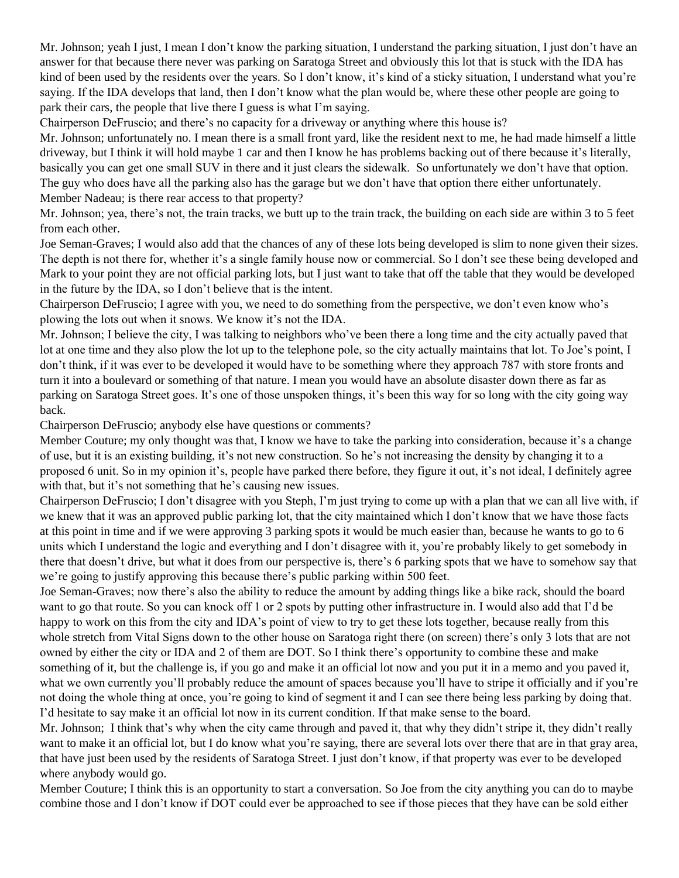Mr. Johnson; yeah I just, I mean I don't know the parking situation, I understand the parking situation, I just don't have an answer for that because there never was parking on Saratoga Street and obviously this lot that is stuck with the IDA has kind of been used by the residents over the years. So I don't know, it's kind of a sticky situation, I understand what you're saying. If the IDA develops that land, then I don't know what the plan would be, where these other people are going to park their cars, the people that live there I guess is what I'm saying.

Chairperson DeFruscio; and there's no capacity for a driveway or anything where this house is?

Mr. Johnson; unfortunately no. I mean there is a small front yard, like the resident next to me, he had made himself a little driveway, but I think it will hold maybe 1 car and then I know he has problems backing out of there because it's literally, basically you can get one small SUV in there and it just clears the sidewalk. So unfortunately we don't have that option. The guy who does have all the parking also has the garage but we don't have that option there either unfortunately. Member Nadeau; is there rear access to that property?

Mr. Johnson; yea, there's not, the train tracks, we butt up to the train track, the building on each side are within 3 to 5 feet from each other.

Joe Seman-Graves; I would also add that the chances of any of these lots being developed is slim to none given their sizes. The depth is not there for, whether it's a single family house now or commercial. So I don't see these being developed and Mark to your point they are not official parking lots, but I just want to take that off the table that they would be developed in the future by the IDA, so I don't believe that is the intent.

Chairperson DeFruscio; I agree with you, we need to do something from the perspective, we don't even know who's plowing the lots out when it snows. We know it's not the IDA.

Mr. Johnson; I believe the city, I was talking to neighbors who've been there a long time and the city actually paved that lot at one time and they also plow the lot up to the telephone pole, so the city actually maintains that lot. To Joe's point, I don't think, if it was ever to be developed it would have to be something where they approach 787 with store fronts and turn it into a boulevard or something of that nature. I mean you would have an absolute disaster down there as far as parking on Saratoga Street goes. It's one of those unspoken things, it's been this way for so long with the city going way back.

Chairperson DeFruscio; anybody else have questions or comments?

Member Couture; my only thought was that, I know we have to take the parking into consideration, because it's a change of use, but it is an existing building, it's not new construction. So he's not increasing the density by changing it to a proposed 6 unit. So in my opinion it's, people have parked there before, they figure it out, it's not ideal, I definitely agree with that, but it's not something that he's causing new issues.

Chairperson DeFruscio; I don't disagree with you Steph, I'm just trying to come up with a plan that we can all live with, if we knew that it was an approved public parking lot, that the city maintained which I don't know that we have those facts at this point in time and if we were approving 3 parking spots it would be much easier than, because he wants to go to 6 units which I understand the logic and everything and I don't disagree with it, you're probably likely to get somebody in there that doesn't drive, but what it does from our perspective is, there's 6 parking spots that we have to somehow say that we're going to justify approving this because there's public parking within 500 feet.

Joe Seman-Graves; now there's also the ability to reduce the amount by adding things like a bike rack, should the board want to go that route. So you can knock off 1 or 2 spots by putting other infrastructure in. I would also add that I'd be happy to work on this from the city and IDA's point of view to try to get these lots together, because really from this whole stretch from Vital Signs down to the other house on Saratoga right there (on screen) there's only 3 lots that are not owned by either the city or IDA and 2 of them are DOT. So I think there's opportunity to combine these and make something of it, but the challenge is, if you go and make it an official lot now and you put it in a memo and you paved it, what we own currently you'll probably reduce the amount of spaces because you'll have to stripe it officially and if you're not doing the whole thing at once, you're going to kind of segment it and I can see there being less parking by doing that. I'd hesitate to say make it an official lot now in its current condition. If that make sense to the board.

Mr. Johnson; I think that's why when the city came through and paved it, that why they didn't stripe it, they didn't really want to make it an official lot, but I do know what you're saying, there are several lots over there that are in that gray area, that have just been used by the residents of Saratoga Street. I just don't know, if that property was ever to be developed where anybody would go.

Member Couture; I think this is an opportunity to start a conversation. So Joe from the city anything you can do to maybe combine those and I don't know if DOT could ever be approached to see if those pieces that they have can be sold either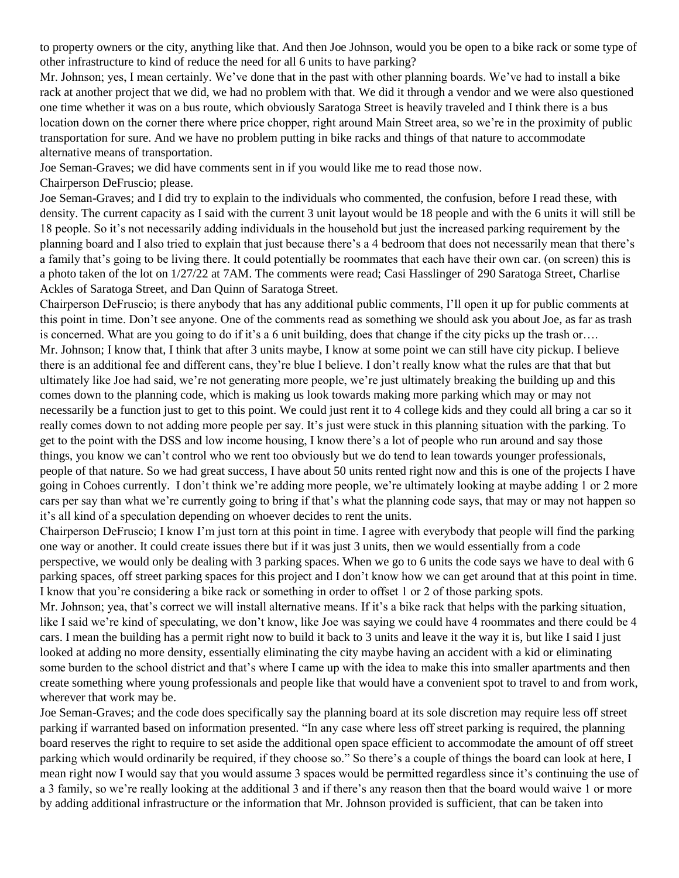to property owners or the city, anything like that. And then Joe Johnson, would you be open to a bike rack or some type of other infrastructure to kind of reduce the need for all 6 units to have parking?

Mr. Johnson; yes, I mean certainly. We've done that in the past with other planning boards. We've had to install a bike rack at another project that we did, we had no problem with that. We did it through a vendor and we were also questioned one time whether it was on a bus route, which obviously Saratoga Street is heavily traveled and I think there is a bus location down on the corner there where price chopper, right around Main Street area, so we're in the proximity of public transportation for sure. And we have no problem putting in bike racks and things of that nature to accommodate alternative means of transportation.

Joe Seman-Graves; we did have comments sent in if you would like me to read those now.

Chairperson DeFruscio; please.

Joe Seman-Graves; and I did try to explain to the individuals who commented, the confusion, before I read these, with density. The current capacity as I said with the current 3 unit layout would be 18 people and with the 6 units it will still be 18 people. So it's not necessarily adding individuals in the household but just the increased parking requirement by the planning board and I also tried to explain that just because there's a 4 bedroom that does not necessarily mean that there's a family that's going to be living there. It could potentially be roommates that each have their own car. (on screen) this is a photo taken of the lot on 1/27/22 at 7AM. The comments were read; Casi Hasslinger of 290 Saratoga Street, Charlise Ackles of Saratoga Street, and Dan Quinn of Saratoga Street.

Chairperson DeFruscio; is there anybody that has any additional public comments, I'll open it up for public comments at this point in time. Don't see anyone. One of the comments read as something we should ask you about Joe, as far as trash is concerned. What are you going to do if it's a 6 unit building, does that change if the city picks up the trash or…. Mr. Johnson; I know that, I think that after 3 units maybe, I know at some point we can still have city pickup. I believe there is an additional fee and different cans, they're blue I believe. I don't really know what the rules are that that but ultimately like Joe had said, we're not generating more people, we're just ultimately breaking the building up and this comes down to the planning code, which is making us look towards making more parking which may or may not necessarily be a function just to get to this point. We could just rent it to 4 college kids and they could all bring a car so it really comes down to not adding more people per say. It's just were stuck in this planning situation with the parking. To get to the point with the DSS and low income housing, I know there's a lot of people who run around and say those things, you know we can't control who we rent too obviously but we do tend to lean towards younger professionals, people of that nature. So we had great success, I have about 50 units rented right now and this is one of the projects I have going in Cohoes currently. I don't think we're adding more people, we're ultimately looking at maybe adding 1 or 2 more cars per say than what we're currently going to bring if that's what the planning code says, that may or may not happen so it's all kind of a speculation depending on whoever decides to rent the units.

Chairperson DeFruscio; I know I'm just torn at this point in time. I agree with everybody that people will find the parking one way or another. It could create issues there but if it was just 3 units, then we would essentially from a code perspective, we would only be dealing with 3 parking spaces. When we go to 6 units the code says we have to deal with 6 parking spaces, off street parking spaces for this project and I don't know how we can get around that at this point in time. I know that you're considering a bike rack or something in order to offset 1 or 2 of those parking spots.

Mr. Johnson; yea, that's correct we will install alternative means. If it's a bike rack that helps with the parking situation, like I said we're kind of speculating, we don't know, like Joe was saying we could have 4 roommates and there could be 4 cars. I mean the building has a permit right now to build it back to 3 units and leave it the way it is, but like I said I just looked at adding no more density, essentially eliminating the city maybe having an accident with a kid or eliminating some burden to the school district and that's where I came up with the idea to make this into smaller apartments and then create something where young professionals and people like that would have a convenient spot to travel to and from work, wherever that work may be.

Joe Seman-Graves; and the code does specifically say the planning board at its sole discretion may require less off street parking if warranted based on information presented. "In any case where less off street parking is required, the planning board reserves the right to require to set aside the additional open space efficient to accommodate the amount of off street parking which would ordinarily be required, if they choose so." So there's a couple of things the board can look at here, I mean right now I would say that you would assume 3 spaces would be permitted regardless since it's continuing the use of a 3 family, so we're really looking at the additional 3 and if there's any reason then that the board would waive 1 or more by adding additional infrastructure or the information that Mr. Johnson provided is sufficient, that can be taken into